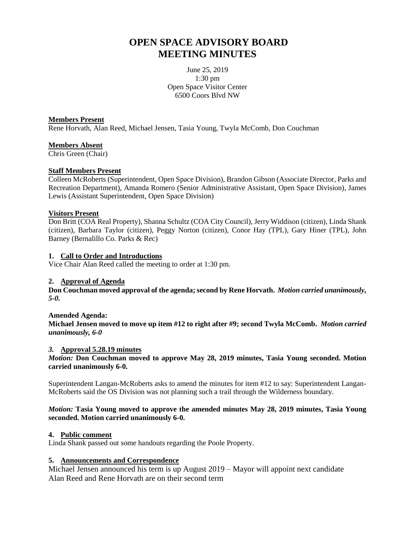# **OPEN SPACE ADVISORY BOARD MEETING MINUTES**

June 25, 2019 1:30 pm Open Space Visitor Center 6500 Coors Blvd NW

### **Members Present**

Rene Horvath, Alan Reed, Michael Jensen, Tasia Young, Twyla McComb, Don Couchman

### **Members Absent**

Chris Green (Chair)

### **Staff Members Present**

Colleen McRoberts (Superintendent, Open Space Division), Brandon Gibson (Associate Director, Parks and Recreation Department), Amanda Romero (Senior Administrative Assistant, Open Space Division), James Lewis (Assistant Superintendent, Open Space Division)

## **Visitors Present**

Don Britt (COA Real Property), Shanna Schultz (COA City Council), Jerry Widdison (citizen), Linda Shank (citizen), Barbara Taylor (citizen), Peggy Norton (citizen), Conor Hay (TPL), Gary Hiner (TPL), John Barney (Bernalillo Co. Parks & Rec)

### **1. Call to Order and Introductions**

Vice Chair Alan Reed called the meeting to order at 1:30 pm.

# **2. Approval of Agenda**

**Don Couchman moved approval of the agenda;second by Rene Horvath.** *Motion carried unanimously, 5-0.*

### **Amended Agenda:**

**Michael Jensen moved to move up item #12 to right after #9; second Twyla McComb.** *Motion carried unanimously, 6-0*

### *3.* **Approval 5.28.19 minutes**

*Motion:* **Don Couchman moved to approve May 28, 2019 minutes, Tasia Young seconded. Motion carried unanimously 6-0.**

Superintendent Langan-McRoberts asks to amend the minutes for item #12 to say: Superintendent Langan-McRoberts said the OS Division was not planning such a trail through the Wilderness boundary.

### *Motion:* **Tasia Young moved to approve the amended minutes May 28, 2019 minutes, Tasia Young seconded. Motion carried unanimously 6-0.**

# **4. Public comment**

Linda Shank passed out some handouts regarding the Poole Property.

# **5. Announcements and Correspondence**

Michael Jensen announced his term is up August 2019 – Mayor will appoint next candidate Alan Reed and Rene Horvath are on their second term